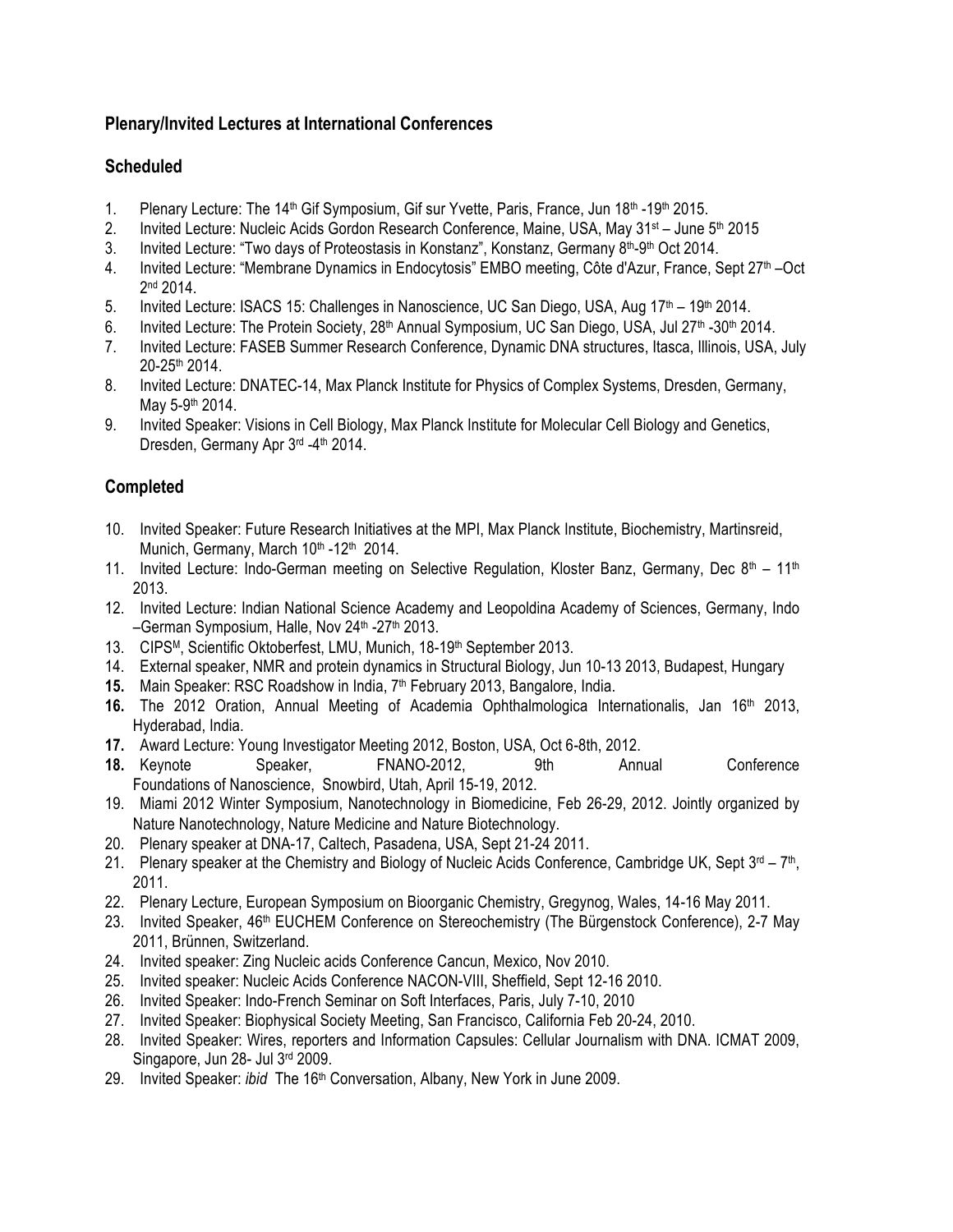### **Plenary/Invited Lectures at International Conferences**

## **Scheduled**

- 1. Plenary Lecture: The 14<sup>th</sup> Gif Symposium, Gif sur Yvette, Paris, France, Jun  $18<sup>th</sup>$ -19<sup>th</sup> 2015.
- 2. Invited Lecture: Nucleic Acids Gordon Research Conference, Maine, USA, May 31<sup>st</sup> June 5<sup>th</sup> 2015
- 3. Invited Lecture: "Two days of Proteostasis in Konstanz", Konstanz, Germany 8<sup>th</sup>-9<sup>th</sup> Oct 2014.
- 4. Invited Lecture: "Membrane Dynamics in Endocytosis" EMBO meeting, Côte d'Azur, France, Sept 27<sup>th</sup> –Oct 2<sup>nd</sup> 2014.
- 5. Invited Lecture: ISACS 15: Challenges in Nanoscience, UC San Diego, USA, Aug 17<sup>th</sup> 19<sup>th</sup> 2014.
- 6. Invited Lecture: The Protein Society, 28<sup>th</sup> Annual Symposium, UC San Diego, USA, Jul 27<sup>th</sup> -30<sup>th</sup> 2014.
- 7. Invited Lecture: FASEB Summer Research Conference, Dynamic DNA structures, Itasca, Illinois, USA, July 20-25th 2014.
- 8. Invited Lecture: DNATEC-14, Max Planck Institute for Physics of Complex Systems, Dresden, Germany, May 5-9th 2014.
- 9. Invited Speaker: Visions in Cell Biology, Max Planck Institute for Molecular Cell Biology and Genetics, Dresden, Germany Apr 3rd -4th 2014.

# **Completed**

- 10. Invited Speaker: Future Research Initiatives at the MPI, Max Planck Institute, Biochemistry, Martinsreid, Munich, Germany, March 10th -12th 2014.
- 11. Invited Lecture: Indo-German meeting on Selective Regulation, Kloster Banz, Germany, Dec  $8<sup>th</sup> 11<sup>th</sup>$ 2013.
- 12. Invited Lecture: Indian National Science Academy and Leopoldina Academy of Sciences, Germany, Indo –German Symposium, Halle, Nov 24<sup>th</sup> -27<sup>th</sup> 2013.
- 13. CIPSM, Scientific Oktoberfest, LMU, Munich, 18-19th September 2013.
- 14. External speaker, NMR and protein dynamics in Structural Biology, Jun 10-13 2013, Budapest, Hungary
- **15.** Main Speaker: RSC Roadshow in India, 7th February 2013, Bangalore, India.
- **16.** The 2012 Oration, Annual Meeting of Academia Ophthalmologica Internationalis, Jan 16th 2013, Hyderabad, India.
- **17.** Award Lecture: Young Investigator Meeting 2012, Boston, USA, Oct 6-8th, 2012.
- **18.** Keynote Speaker, FNANO-2012, 9th Annual Conference Foundations of Nanoscience, Snowbird, Utah, April 15-19, 2012.
- 19. Miami 2012 Winter Symposium, Nanotechnology in Biomedicine, Feb 26-29, 2012. Jointly organized by Nature Nanotechnology, Nature Medicine and Nature Biotechnology.
- 20. Plenary speaker at DNA-17, Caltech, Pasadena, USA, Sept 21-24 2011.
- 21. Plenary speaker at the Chemistry and Biology of Nucleic Acids Conference, Cambridge UK, Sept  $3^{rd} 7^{th}$ , 2011.
- 22. Plenary Lecture, European Symposium on Bioorganic Chemistry, Gregynog, Wales, 14-16 May 2011.
- 23. Invited Speaker, 46<sup>th</sup> EUCHEM Conference on Stereochemistry (The Bürgenstock Conference), 2-7 May 2011, Brünnen, Switzerland.
- 24. Invited speaker: Zing Nucleic acids Conference Cancun, Mexico, Nov 2010.
- 25. Invited speaker: Nucleic Acids Conference NACON-VIII, Sheffield, Sept 12-16 2010.
- 26. Invited Speaker: Indo-French Seminar on Soft Interfaces, Paris, July 7-10, 2010
- 27. Invited Speaker: Biophysical Society Meeting, San Francisco, California Feb 20-24, 2010.
- 28. Invited Speaker: Wires, reporters and Information Capsules: Cellular Journalism with DNA. ICMAT 2009, Singapore, Jun 28- Jul 3rd 2009.
- 29. Invited Speaker: *ibid* The 16th Conversation, Albany, New York in June 2009.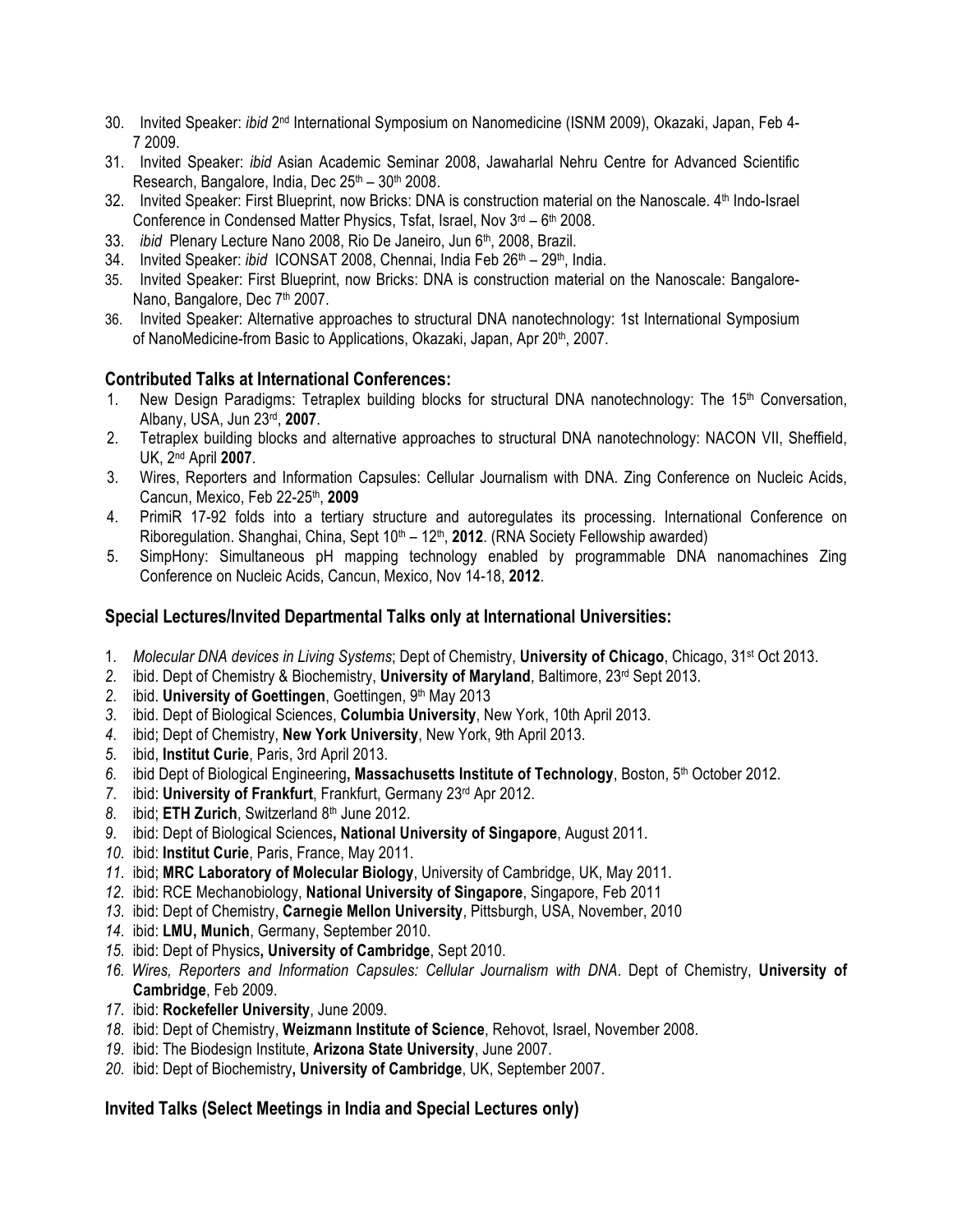- 30. Invited Speaker: *ibid* 2nd International Symposium on Nanomedicine (ISNM 2009), Okazaki, Japan, Feb 4- 7 2009.
- 31. Invited Speaker: *ibid* Asian Academic Seminar 2008, Jawaharlal Nehru Centre for Advanced Scientific Research, Bangalore, India, Dec  $25<sup>th</sup> - 30<sup>th</sup> 2008$ .
- 32. Invited Speaker: First Blueprint, now Bricks: DNA is construction material on the Nanoscale. 4th Indo-Israel Conference in Condensed Matter Physics, Tsfat, Israel, Nov  $3^{rd}$  –  $6^{th}$  2008.
- 33. *ibid* Plenary Lecture Nano 2008, Rio De Janeiro, Jun 6<sup>th</sup>, 2008, Brazil.
- 34. Invited Speaker: *ibid* ICONSAT 2008, Chennai, India Feb 26<sup>th</sup> 29<sup>th</sup>, India.
- 35. Invited Speaker: First Blueprint, now Bricks: DNA is construction material on the Nanoscale: Bangalore-Nano, Bangalore, Dec 7<sup>th</sup> 2007.
- 36. Invited Speaker: Alternative approaches to structural DNA nanotechnology: 1st International Symposium of NanoMedicine-from Basic to Applications, Okazaki, Japan, Apr 20<sup>th</sup>, 2007.

#### **Contributed Talks at International Conferences:**

- 1. New Design Paradigms: Tetraplex building blocks for structural DNA nanotechnology: The 15th Conversation, Albany, USA, Jun 23rd, **2007**.
- 2. Tetraplex building blocks and alternative approaches to structural DNA nanotechnology: NACON VII, Sheffield, UK, 2nd April **2007**.
- 3. Wires, Reporters and Information Capsules: Cellular Journalism with DNA. Zing Conference on Nucleic Acids, Cancun, Mexico, Feb 22-25th, **2009**
- 4. PrimiR 17-92 folds into a tertiary structure and autoregulates its processing. International Conference on Riboregulation. Shanghai, China, Sept 10<sup>th</sup> – 12<sup>th</sup>, 2012. (RNA Society Fellowship awarded)
- 5. SimpHony: Simultaneous pH mapping technology enabled by programmable DNA nanomachines Zing Conference on Nucleic Acids, Cancun, Mexico, Nov 14-18, **2012**.

#### **Special Lectures/Invited Departmental Talks only at International Universities:**

- 1. *Molecular DNA devices in Living Systems*; Dept of Chemistry, **University of Chicago**, Chicago, 31st Oct 2013.
- *2*. ibid. Dept of Chemistry & Biochemistry, **University of Maryland**, Baltimore, 23rd Sept 2013.
- 2. ibid. **University of Goettingen**, Goettingen, 9<sup>th</sup> May 2013
- *3*. ibid. Dept of Biological Sciences, **Columbia University**, New York, 10th April 2013.
- *4*. ibid; Dept of Chemistry, **New York University**, New York, 9th April 2013.
- *5*. ibid, **Institut Curie**, Paris, 3rd April 2013.
- *6*. ibid Dept of Biological Engineering**, Massachusetts Institute of Technology**, Boston, 5th October 2012.
- *7*. ibid: **University of Frankfurt**, Frankfurt, Germany 23rd Apr 2012.
- 8. ibid; **ETH Zurich**, Switzerland 8<sup>th</sup> June 2012.
- *9*. ibid: Dept of Biological Sciences**, National University of Singapore**, August 2011.
- *10*. ibid: **Institut Curie**, Paris, France, May 2011.
- *11*. ibid; **MRC Laboratory of Molecular Biology**, University of Cambridge, UK, May 2011.
- *12*. ibid: RCE Mechanobiology, **National University of Singapore**, Singapore, Feb 2011
- *13*. ibid: Dept of Chemistry, **Carnegie Mellon University**, Pittsburgh, USA, November, 2010
- *14*. ibid: **LMU, Munich**, Germany, September 2010.
- *15*. ibid: Dept of Physics**, University of Cambridge**, Sept 2010.
- *16. Wires, Reporters and Information Capsules: Cellular Journalism with DNA*. Dept of Chemistry, **University of Cambridge**, Feb 2009.
- *17*. ibid: **Rockefeller University**, June 2009.
- *18*. ibid: Dept of Chemistry, **Weizmann Institute of Science**, Rehovot, Israel, November 2008.
- *19*. ibid: The Biodesign Institute, **Arizona State University**, June 2007.
- *20*. ibid: Dept of Biochemistry**, University of Cambridge**, UK, September 2007.

**Invited Talks (Select Meetings in India and Special Lectures only)**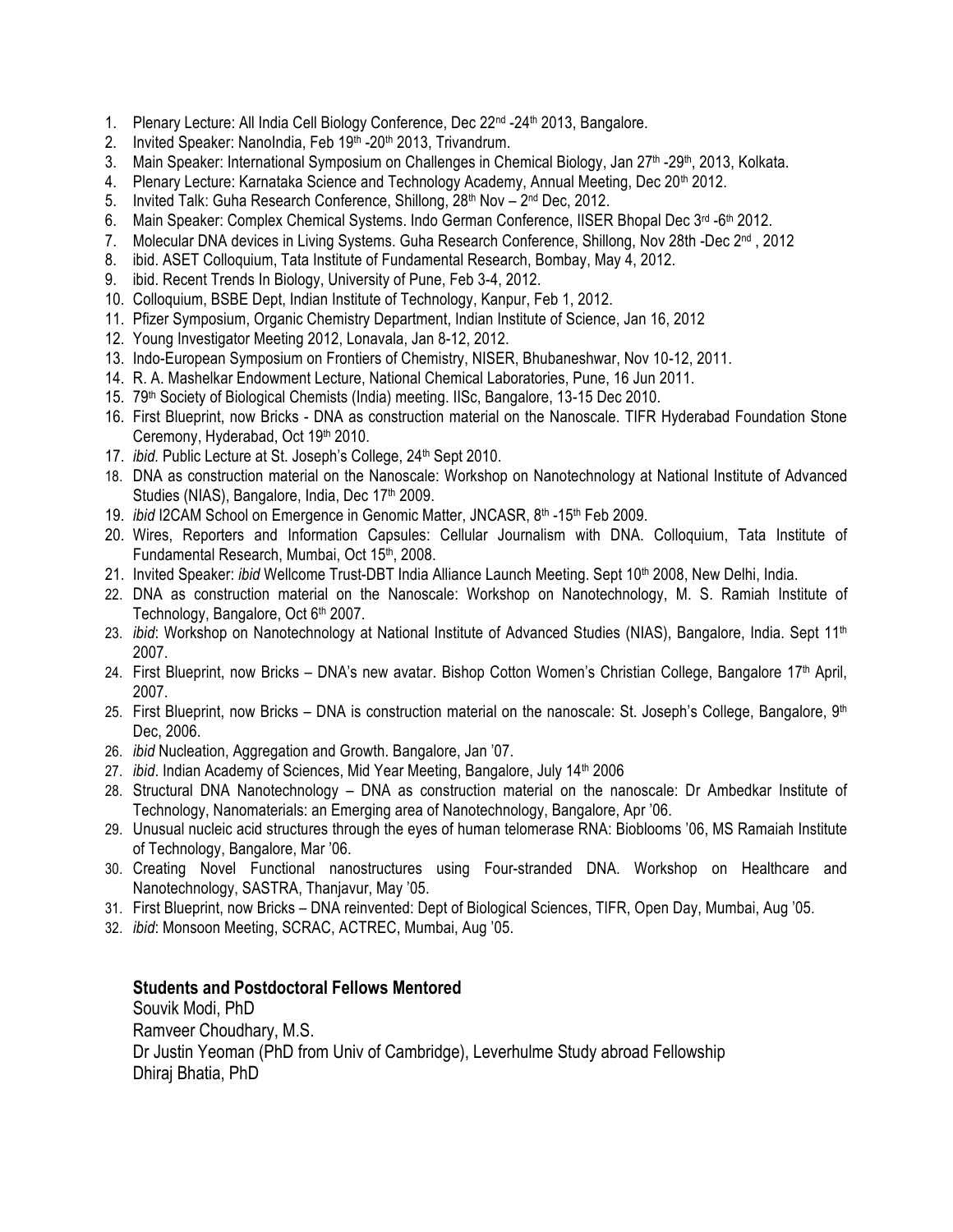- 1. Plenary Lecture: All India Cell Biology Conference, Dec  $22^{nd}$  -24<sup>th</sup> 2013, Bangalore.
- 2. Invited Speaker: NanoIndia, Feb 19<sup>th</sup> -20<sup>th</sup> 2013, Trivandrum.
- 3. Main Speaker: International Symposium on Challenges in Chemical Biology, Jan 27<sup>th</sup> -29<sup>th</sup>, 2013, Kolkata.
- 4. Plenary Lecture: Karnataka Science and Technology Academy, Annual Meeting, Dec 20th 2012.
- 5. Invited Talk: Guha Research Conference, Shillong, 28<sup>th</sup> Nov 2<sup>nd</sup> Dec, 2012.
- 6. Main Speaker: Complex Chemical Systems. Indo German Conference, IISER Bhopal Dec 3rd -6th 2012.
- 7. Molecular DNA devices in Living Systems. Guha Research Conference, Shillong, Nov 28th -Dec 2nd , 2012
- 8. ibid. ASET Colloquium, Tata Institute of Fundamental Research, Bombay, May 4, 2012.
- 9. ibid. Recent Trends In Biology, University of Pune, Feb 3-4, 2012.
- 10. Colloquium, BSBE Dept, Indian Institute of Technology, Kanpur, Feb 1, 2012.
- 11. Pfizer Symposium, Organic Chemistry Department, Indian Institute of Science, Jan 16, 2012
- 12. Young Investigator Meeting 2012, Lonavala, Jan 8-12, 2012.
- 13. Indo-European Symposium on Frontiers of Chemistry, NISER, Bhubaneshwar, Nov 10-12, 2011.
- 14. R. A. Mashelkar Endowment Lecture, National Chemical Laboratories, Pune, 16 Jun 2011.
- 15. 79<sup>th</sup> Society of Biological Chemists (India) meeting. IISc, Bangalore, 13-15 Dec 2010.
- 16. First Blueprint, now Bricks DNA as construction material on the Nanoscale. TIFR Hyderabad Foundation Stone Ceremony, Hyderabad, Oct 19th 2010.
- 17. *ibid.* Public Lecture at St. Joseph's College, 24<sup>th</sup> Sept 2010.
- 18. DNA as construction material on the Nanoscale: Workshop on Nanotechnology at National Institute of Advanced Studies (NIAS), Bangalore, India, Dec 17<sup>th</sup> 2009.
- 19. *ibid* I2CAM School on Emergence in Genomic Matter, JNCASR, 8<sup>th</sup> -15<sup>th</sup> Feb 2009.
- 20. Wires, Reporters and Information Capsules: Cellular Journalism with DNA. Colloquium, Tata Institute of Fundamental Research, Mumbai, Oct 15<sup>th</sup>, 2008.
- 21. Invited Speaker: *ibid* Wellcome Trust-DBT India Alliance Launch Meeting. Sept 10<sup>th</sup> 2008, New Delhi, India.
- 22. DNA as construction material on the Nanoscale: Workshop on Nanotechnology, M. S. Ramiah Institute of Technology, Bangalore, Oct 6<sup>th</sup> 2007.
- 23. *ibid*: Workshop on Nanotechnology at National Institute of Advanced Studies (NIAS), Bangalore, India. Sept 11<sup>th</sup> 2007.
- 24. First Blueprint, now Bricks DNA's new avatar. Bishop Cotton Women's Christian College, Bangalore 17th April, 2007.
- 25. First Blueprint, now Bricks DNA is construction material on the nanoscale: St. Joseph's College, Bangalore,  $9<sup>th</sup>$ Dec, 2006.
- 26. *ibid* Nucleation, Aggregation and Growth. Bangalore, Jan '07.
- 27. *ibid*. Indian Academy of Sciences, Mid Year Meeting, Bangalore, July 14<sup>th</sup> 2006
- 28. Structural DNA Nanotechnology DNA as construction material on the nanoscale: Dr Ambedkar Institute of Technology, Nanomaterials: an Emerging area of Nanotechnology, Bangalore, Apr '06.
- 29. Unusual nucleic acid structures through the eyes of human telomerase RNA: Bioblooms '06, MS Ramaiah Institute of Technology, Bangalore, Mar '06.
- 30. Creating Novel Functional nanostructures using Four-stranded DNA. Workshop on Healthcare and Nanotechnology, SASTRA, Thanjavur, May '05.
- 31. First Blueprint, now Bricks DNA reinvented: Dept of Biological Sciences, TIFR, Open Day, Mumbai, Aug '05.
- 32. *ibid*: Monsoon Meeting, SCRAC, ACTREC, Mumbai, Aug '05.

#### **Students and Postdoctoral Fellows Mentored**

Souvik Modi, PhD Ramveer Choudhary, M.S. Dr Justin Yeoman (PhD from Univ of Cambridge), Leverhulme Study abroad Fellowship Dhiraj Bhatia, PhD